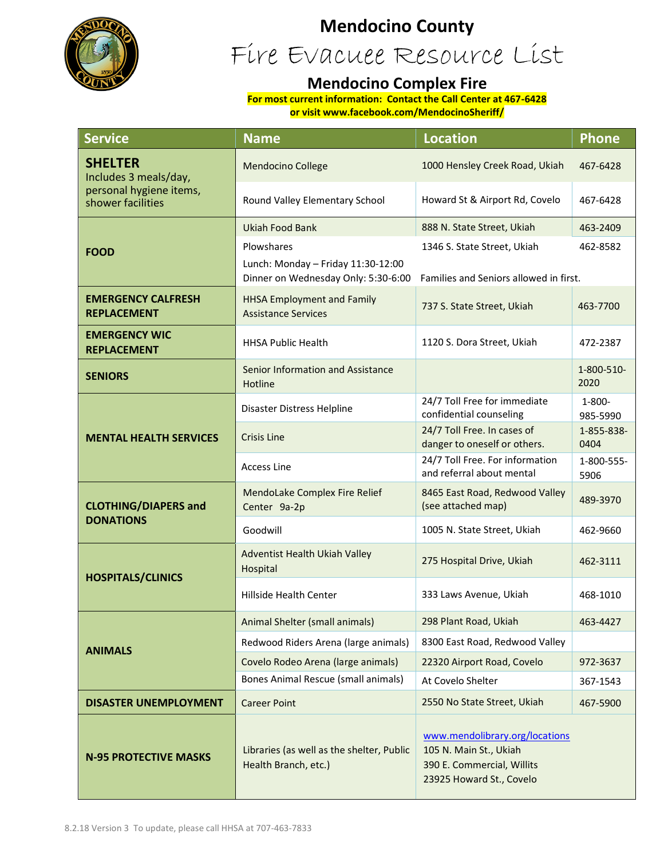

## **Mendocino County**

Fire Evacuee Resource List

#### **Mendocino Complex Fire**

**For most current information: Contact the Call Center at 467-6428 or visit www.facebook.com/MendocinoSheriff/**

| <b>Service</b>                                                                          | <b>Name</b>                                                                                                                                                                  | <b>Location</b>                                                                                                    | <b>Phone</b>       |
|-----------------------------------------------------------------------------------------|------------------------------------------------------------------------------------------------------------------------------------------------------------------------------|--------------------------------------------------------------------------------------------------------------------|--------------------|
| <b>SHELTER</b><br>Includes 3 meals/day,<br>personal hygiene items,<br>shower facilities | <b>Mendocino College</b>                                                                                                                                                     | 1000 Hensley Creek Road, Ukiah                                                                                     | 467-6428           |
|                                                                                         | Round Valley Elementary School                                                                                                                                               | Howard St & Airport Rd, Covelo                                                                                     | 467-6428           |
| <b>FOOD</b>                                                                             | <b>Ukiah Food Bank</b>                                                                                                                                                       | 888 N. State Street, Ukiah                                                                                         | 463-2409           |
|                                                                                         | Plowshares<br>462-8582<br>1346 S. State Street, Ukiah<br>Lunch: Monday - Friday 11:30-12:00<br>Dinner on Wednesday Only: 5:30-6:00<br>Families and Seniors allowed in first. |                                                                                                                    |                    |
| <b>EMERGENCY CALFRESH</b><br><b>REPLACEMENT</b>                                         | <b>HHSA Employment and Family</b><br><b>Assistance Services</b>                                                                                                              | 737 S. State Street, Ukiah                                                                                         | 463-7700           |
| <b>EMERGENCY WIC</b><br><b>REPLACEMENT</b>                                              | <b>HHSA Public Health</b>                                                                                                                                                    | 1120 S. Dora Street, Ukiah                                                                                         | 472-2387           |
| <b>SENIORS</b>                                                                          | Senior Information and Assistance<br>Hotline                                                                                                                                 |                                                                                                                    | 1-800-510-<br>2020 |
| <b>MENTAL HEALTH SERVICES</b>                                                           | Disaster Distress Helpline                                                                                                                                                   | 24/7 Toll Free for immediate<br>confidential counseling                                                            | 1-800-<br>985-5990 |
|                                                                                         | <b>Crisis Line</b>                                                                                                                                                           | 24/7 Toll Free. In cases of<br>danger to oneself or others.                                                        | 1-855-838-<br>0404 |
|                                                                                         | <b>Access Line</b>                                                                                                                                                           | 24/7 Toll Free. For information<br>and referral about mental                                                       | 1-800-555-<br>5906 |
| <b>CLOTHING/DIAPERS and</b><br><b>DONATIONS</b>                                         | MendoLake Complex Fire Relief<br>Center 9a-2p                                                                                                                                | 8465 East Road, Redwood Valley<br>(see attached map)                                                               | 489-3970           |
|                                                                                         | Goodwill                                                                                                                                                                     | 1005 N. State Street, Ukiah                                                                                        | 462-9660           |
| <b>HOSPITALS/CLINICS</b>                                                                | Adventist Health Ukiah Valley<br>Hospital                                                                                                                                    | 275 Hospital Drive, Ukiah                                                                                          | 462-3111           |
|                                                                                         | Hillside Health Center                                                                                                                                                       | 333 Laws Avenue, Ukiah                                                                                             | 468-1010           |
| <b>ANIMALS</b>                                                                          | Animal Shelter (small animals)                                                                                                                                               | 298 Plant Road, Ukiah                                                                                              | 463-4427           |
|                                                                                         | Redwood Riders Arena (large animals)                                                                                                                                         | 8300 East Road, Redwood Valley                                                                                     |                    |
|                                                                                         | Covelo Rodeo Arena (large animals)                                                                                                                                           | 22320 Airport Road, Covelo                                                                                         | 972-3637           |
|                                                                                         | Bones Animal Rescue (small animals)                                                                                                                                          | At Covelo Shelter                                                                                                  | 367-1543           |
| <b>DISASTER UNEMPLOYMENT</b>                                                            | <b>Career Point</b>                                                                                                                                                          | 2550 No State Street, Ukiah                                                                                        | 467-5900           |
| <b>N-95 PROTECTIVE MASKS</b>                                                            | Libraries (as well as the shelter, Public<br>Health Branch, etc.)                                                                                                            | www.mendolibrary.org/locations<br>105 N. Main St., Ukiah<br>390 E. Commercial, Willits<br>23925 Howard St., Covelo |                    |